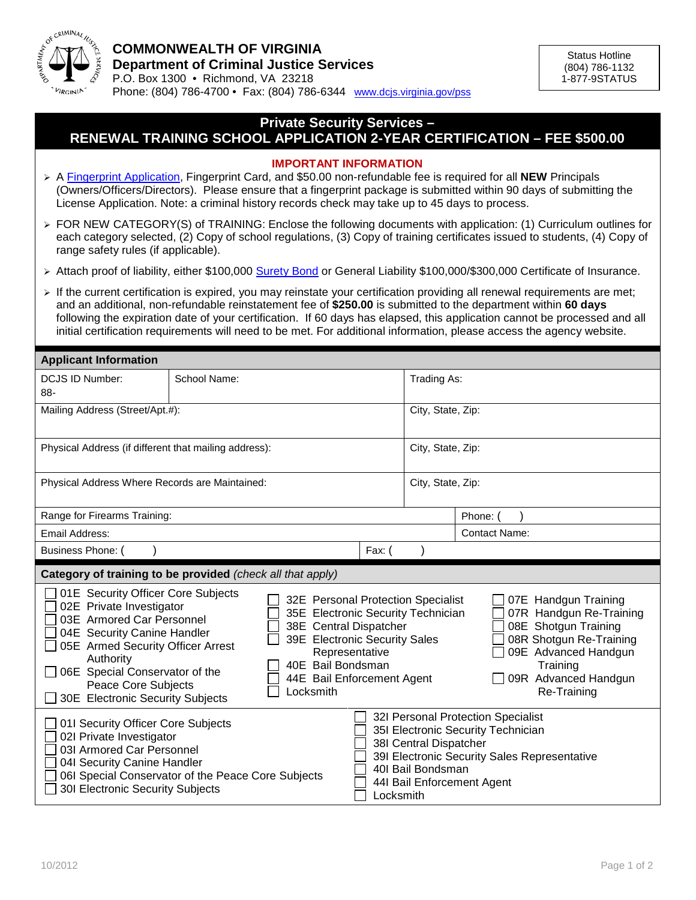

## **Private Security Services –**

## **RENEWAL TRAINING SCHOOL APPLICATION 2-YEAR CERTIFICATION – FEE \$500.00**

## **IMPORTANT INFORMATION**

- A [Fingerprint Application,](http://www.dcjs.virginia.gov/forms/privatesecurity/pss_fp.pdf) Fingerprint Card, and \$50.00 non-refundable fee is required for all **NEW** Principals (Owners/Officers/Directors). Please ensure that a fingerprint package is submitted within 90 days of submitting the License Application. Note: a criminal history records check may take up to 45 days to process.
- FOR NEW CATEGORY(S) of TRAINING: Enclose the following documents with application: (1) Curriculum outlines for each category selected, (2) Copy of school regulations, (3) Copy of training certificates issued to students, (4) Copy of range safety rules (if applicable).
- ▶ Attach proof of liability, either \$100,000 [Surety Bond](http://www.dcjs.virginia.gov/forms/privatesecurity/pss_bd.pdf) or General Liability \$100,000/\$300,000 Certificate of Insurance.
- $\triangleright$  If the current certification is expired, you may reinstate your certification providing all renewal requirements are met; and an additional, non-refundable reinstatement fee of **\$250.00** is submitted to the department within **60 days** following the expiration date of your certification. If 60 days has elapsed, this application cannot be processed and all initial certification requirements will need to be met. For additional information, please access the agency website.

| <b>Applicant Information</b>                                                                                                                                                                                                                                                                                                                                                                                                                                                                              |              |  |           |                                             |                                                                                                                                                                               |  |
|-----------------------------------------------------------------------------------------------------------------------------------------------------------------------------------------------------------------------------------------------------------------------------------------------------------------------------------------------------------------------------------------------------------------------------------------------------------------------------------------------------------|--------------|--|-----------|---------------------------------------------|-------------------------------------------------------------------------------------------------------------------------------------------------------------------------------|--|
| <b>DCJS ID Number:</b><br>88-                                                                                                                                                                                                                                                                                                                                                                                                                                                                             | School Name: |  |           | Trading As:                                 |                                                                                                                                                                               |  |
| Mailing Address (Street/Apt.#):                                                                                                                                                                                                                                                                                                                                                                                                                                                                           |              |  |           | City, State, Zip:                           |                                                                                                                                                                               |  |
| Physical Address (if different that mailing address):                                                                                                                                                                                                                                                                                                                                                                                                                                                     |              |  |           | City, State, Zip:                           |                                                                                                                                                                               |  |
| Physical Address Where Records are Maintained:                                                                                                                                                                                                                                                                                                                                                                                                                                                            |              |  |           | City, State, Zip:                           |                                                                                                                                                                               |  |
| Range for Firearms Training:                                                                                                                                                                                                                                                                                                                                                                                                                                                                              |              |  |           |                                             | Phone:                                                                                                                                                                        |  |
| Email Address:                                                                                                                                                                                                                                                                                                                                                                                                                                                                                            |              |  |           |                                             | <b>Contact Name:</b>                                                                                                                                                          |  |
| Business Phone: (<br>Fax:                                                                                                                                                                                                                                                                                                                                                                                                                                                                                 |              |  |           |                                             |                                                                                                                                                                               |  |
| Category of training to be provided (check all that apply)                                                                                                                                                                                                                                                                                                                                                                                                                                                |              |  |           |                                             |                                                                                                                                                                               |  |
| 01E Security Officer Core Subjects<br>32E Personal Protection Specialist<br>02E Private Investigator<br>35E Electronic Security Technician<br>03E Armored Car Personnel<br>38E Central Dispatcher<br>04E Security Canine Handler<br>39E Electronic Security Sales<br>05E Armed Security Officer Arrest<br>Representative<br>Authority<br>40E Bail Bondsman<br>06E Special Conservator of the<br>44E Bail Enforcement Agent<br><b>Peace Core Subjects</b><br>Locksmith<br>30E Electronic Security Subjects |              |  |           |                                             | 07E Handgun Training<br>07R Handgun Re-Training<br>08E Shotgun Training<br>08R Shotgun Re-Training<br>09E Advanced Handgun<br>Training<br>09R Advanced Handgun<br>Re-Training |  |
| 01I Security Officer Core Subjects<br>02I Private Investigator<br>03I Armored Car Personnel<br>04I Security Canine Handler<br>06I Special Conservator of the Peace Core Subjects<br>301 Electronic Security Subjects                                                                                                                                                                                                                                                                                      |              |  | Locksmith | 38I Central Dispatcher<br>401 Bail Bondsman | 32I Personal Protection Specialist<br>35I Electronic Security Technician<br>39I Electronic Security Sales Representative<br>44I Bail Enforcement Agent                        |  |